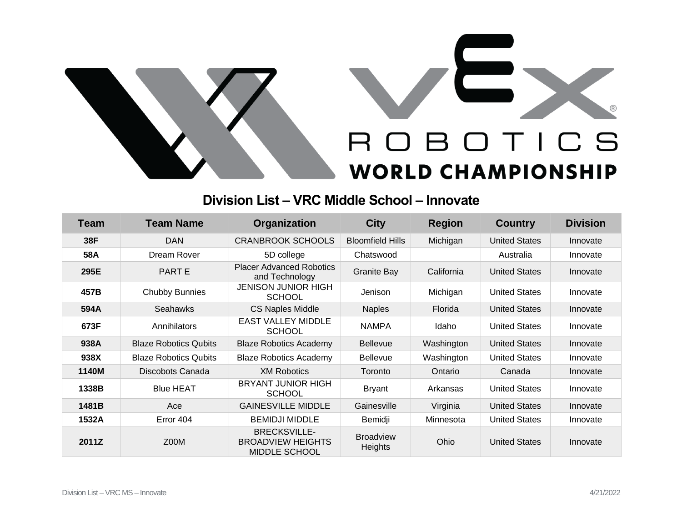



## **Division List – VRC Middle School – Innovate**

| Team  | <b>Team Name</b>             | Organization                                                            | <b>City</b>                        | <b>Region</b> | <b>Country</b>       | <b>Division</b> |
|-------|------------------------------|-------------------------------------------------------------------------|------------------------------------|---------------|----------------------|-----------------|
| 38F   | <b>DAN</b>                   | <b>CRANBROOK SCHOOLS</b>                                                | <b>Bloomfield Hills</b>            | Michigan      | <b>United States</b> | Innovate        |
| 58A   | Dream Rover                  | 5D college                                                              | Chatswood                          |               | Australia            | Innovate        |
| 295E  | PART E                       | <b>Placer Advanced Robotics</b><br>and Technology                       | <b>Granite Bay</b>                 | California    | <b>United States</b> | Innovate        |
| 457B  | <b>Chubby Bunnies</b>        | <b>JENISON JUNIOR HIGH</b><br><b>SCHOOL</b>                             | Jenison                            | Michigan      | <b>United States</b> | Innovate        |
| 594A  | Seahawks                     | <b>CS Naples Middle</b>                                                 | <b>Naples</b>                      | Florida       | <b>United States</b> | Innovate        |
| 673F  | Annihilators                 | <b>EAST VALLEY MIDDLE</b><br><b>SCHOOL</b>                              | <b>NAMPA</b>                       | Idaho         | <b>United States</b> | Innovate        |
| 938A  | <b>Blaze Robotics Qubits</b> | <b>Blaze Robotics Academy</b>                                           | <b>Bellevue</b>                    | Washington    | <b>United States</b> | Innovate        |
| 938X  | <b>Blaze Robotics Qubits</b> | <b>Blaze Robotics Academy</b>                                           | <b>Bellevue</b>                    | Washington    | <b>United States</b> | Innovate        |
| 1140M | Discobots Canada             | <b>XM Robotics</b>                                                      | Toronto                            | Ontario       | Canada               | Innovate        |
| 1338B | <b>Blue HEAT</b>             | <b>BRYANT JUNIOR HIGH</b><br><b>SCHOOL</b>                              | <b>Bryant</b>                      | Arkansas      | <b>United States</b> | Innovate        |
| 1481B | Ace                          | <b>GAINESVILLE MIDDLE</b>                                               | Gainesville                        | Virginia      | <b>United States</b> | Innovate        |
| 1532A | Error 404                    | <b>BEMIDJI MIDDLE</b>                                                   | Bemidji                            | Minnesota     | <b>United States</b> | Innovate        |
| 2011Z | Z00M                         | <b>BRECKSVILLE-</b><br><b>BROADVIEW HEIGHTS</b><br><b>MIDDLE SCHOOL</b> | <b>Broadview</b><br><b>Heights</b> | Ohio          | <b>United States</b> | Innovate        |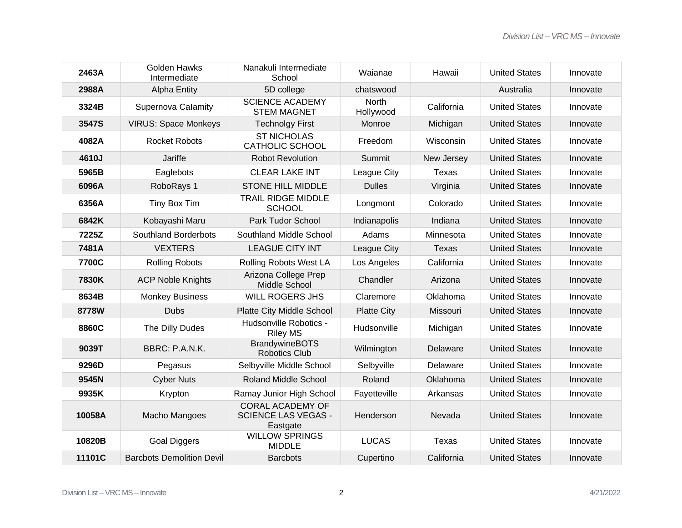| 2463A  | <b>Golden Hawks</b><br>Intermediate | Nanakuli Intermediate<br>School                                   | Waianae            | Hawaii     | <b>United States</b> | Innovate |
|--------|-------------------------------------|-------------------------------------------------------------------|--------------------|------------|----------------------|----------|
| 2988A  | <b>Alpha Entity</b>                 | 5D college                                                        | chatswood          |            | Australia            | Innovate |
| 3324B  | <b>Supernova Calamity</b>           | <b>SCIENCE ACADEMY</b><br><b>STEM MAGNET</b>                      | North<br>Hollywood | California | <b>United States</b> | Innovate |
| 3547S  | <b>VIRUS: Space Monkeys</b>         | <b>Technolgy First</b>                                            | Monroe             | Michigan   | <b>United States</b> | Innovate |
| 4082A  | <b>Rocket Robots</b>                | <b>ST NICHOLAS</b><br><b>CATHOLIC SCHOOL</b>                      | Freedom            | Wisconsin  | <b>United States</b> | Innovate |
| 4610J  | Jariffe                             | <b>Robot Revolution</b>                                           | Summit             | New Jersey | <b>United States</b> | Innovate |
| 5965B  | Eaglebots                           | <b>CLEAR LAKE INT</b>                                             | League City        | Texas      | <b>United States</b> | Innovate |
| 6096A  | RoboRays 1                          | <b>STONE HILL MIDDLE</b>                                          | <b>Dulles</b>      | Virginia   | <b>United States</b> | Innovate |
| 6356A  | Tiny Box Tim                        | <b>TRAIL RIDGE MIDDLE</b><br><b>SCHOOL</b>                        | Longmont           | Colorado   | <b>United States</b> | Innovate |
| 6842K  | Kobayashi Maru                      | Park Tudor School                                                 | Indianapolis       | Indiana    | <b>United States</b> | Innovate |
| 7225Z  | <b>Southland Borderbots</b>         | Southland Middle School                                           | Adams              | Minnesota  | <b>United States</b> | Innovate |
| 7481A  | <b>VEXTERS</b>                      | <b>LEAGUE CITY INT</b>                                            | League City        | Texas      | <b>United States</b> | Innovate |
| 7700C  | <b>Rolling Robots</b>               | Rolling Robots West LA                                            | Los Angeles        | California | <b>United States</b> | Innovate |
| 7830K  | <b>ACP Noble Knights</b>            | Arizona College Prep<br>Middle School                             | Chandler           | Arizona    | <b>United States</b> | Innovate |
| 8634B  | <b>Monkey Business</b>              | <b>WILL ROGERS JHS</b>                                            | Claremore          | Oklahoma   | <b>United States</b> | Innovate |
| 8778W  | <b>Dubs</b>                         | Platte City Middle School                                         | <b>Platte City</b> | Missouri   | <b>United States</b> | Innovate |
| 8860C  | The Dilly Dudes                     | Hudsonville Robotics -<br><b>Riley MS</b>                         | Hudsonville        | Michigan   | <b>United States</b> | Innovate |
| 9039T  | BBRC: P.A.N.K.                      | <b>BrandywineBOTS</b><br><b>Robotics Club</b>                     | Wilmington         | Delaware   | <b>United States</b> | Innovate |
| 9296D  | Pegasus                             | Selbyville Middle School                                          | Selbyville         | Delaware   | <b>United States</b> | Innovate |
| 9545N  | <b>Cyber Nuts</b>                   | <b>Roland Middle School</b>                                       | Roland             | Oklahoma   | <b>United States</b> | Innovate |
| 9935K  | Krypton                             | Ramay Junior High School                                          | Fayetteville       | Arkansas   | <b>United States</b> | Innovate |
| 10058A | Macho Mangoes                       | <b>CORAL ACADEMY OF</b><br><b>SCIENCE LAS VEGAS -</b><br>Eastgate | Henderson          | Nevada     | <b>United States</b> | Innovate |
| 10820B | <b>Goal Diggers</b>                 | <b>WILLOW SPRINGS</b><br><b>MIDDLE</b>                            | <b>LUCAS</b>       | Texas      | <b>United States</b> | Innovate |
| 11101C | <b>Barcbots Demolition Devil</b>    | <b>Barcbots</b>                                                   | Cupertino          | California | <b>United States</b> | Innovate |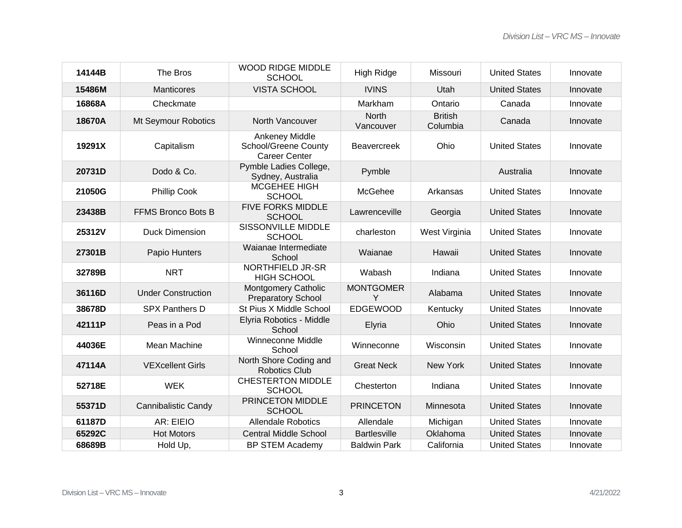| 14144B | The Bros                   | <b>WOOD RIDGE MIDDLE</b><br><b>SCHOOL</b>                             | <b>High Ridge</b>         | Missouri                   | <b>United States</b> | Innovate |
|--------|----------------------------|-----------------------------------------------------------------------|---------------------------|----------------------------|----------------------|----------|
| 15486M | <b>Manticores</b>          | <b>VISTA SCHOOL</b>                                                   | <b>IVINS</b>              | Utah                       | <b>United States</b> | Innovate |
| 16868A | Checkmate                  |                                                                       | Markham                   | Ontario                    | Canada               | Innovate |
| 18670A | Mt Seymour Robotics        | North Vancouver                                                       | <b>North</b><br>Vancouver | <b>British</b><br>Columbia | Canada               | Innovate |
| 19291X | Capitalism                 | Ankeney Middle<br><b>School/Greene County</b><br><b>Career Center</b> | <b>Beavercreek</b>        | Ohio                       | <b>United States</b> | Innovate |
| 20731D | Dodo & Co.                 | Pymble Ladies College,<br>Sydney, Australia                           | Pymble                    |                            | Australia            | Innovate |
| 21050G | <b>Phillip Cook</b>        | <b>MCGEHEE HIGH</b><br><b>SCHOOL</b>                                  | McGehee                   | Arkansas                   | <b>United States</b> | Innovate |
| 23438B | FFMS Bronco Bots B         | <b>FIVE FORKS MIDDLE</b><br><b>SCHOOL</b>                             | Lawrenceville             | Georgia                    | <b>United States</b> | Innovate |
| 25312V | <b>Duck Dimension</b>      | <b>SISSONVILLE MIDDLE</b><br><b>SCHOOL</b>                            | charleston                | West Virginia              | <b>United States</b> | Innovate |
| 27301B | Papio Hunters              | Waianae Intermediate<br>School                                        | Waianae                   | Hawaii                     | <b>United States</b> | Innovate |
| 32789B | <b>NRT</b>                 | <b>NORTHFIELD JR-SR</b><br><b>HIGH SCHOOL</b>                         | Wabash                    | Indiana                    | <b>United States</b> | Innovate |
| 36116D | <b>Under Construction</b>  | <b>Montgomery Catholic</b><br><b>Preparatory School</b>               | <b>MONTGOMER</b><br>Y     | Alabama                    | <b>United States</b> | Innovate |
| 38678D | <b>SPX Panthers D</b>      | St Pius X Middle School                                               | <b>EDGEWOOD</b>           | Kentucky                   | <b>United States</b> | Innovate |
| 42111P | Peas in a Pod              | Elyria Robotics - Middle<br>School                                    | Elyria                    | Ohio                       | <b>United States</b> | Innovate |
| 44036E | Mean Machine               | Winneconne Middle<br>School                                           | Winneconne                | Wisconsin                  | <b>United States</b> | Innovate |
| 47114A | <b>VEXcellent Girls</b>    | North Shore Coding and<br><b>Robotics Club</b>                        | <b>Great Neck</b>         | <b>New York</b>            | <b>United States</b> | Innovate |
| 52718E | <b>WEK</b>                 | <b>CHESTERTON MIDDLE</b><br><b>SCHOOL</b>                             | Chesterton                | Indiana                    | <b>United States</b> | Innovate |
| 55371D | <b>Cannibalistic Candy</b> | PRINCETON MIDDLE<br><b>SCHOOL</b>                                     | <b>PRINCETON</b>          | Minnesota                  | <b>United States</b> | Innovate |
| 61187D | AR: EIEIO                  | <b>Allendale Robotics</b>                                             | Allendale                 | Michigan                   | <b>United States</b> | Innovate |
| 65292C | <b>Hot Motors</b>          | <b>Central Middle School</b>                                          | <b>Bartlesville</b>       | Oklahoma                   | <b>United States</b> | Innovate |
| 68689B | Hold Up,                   | <b>BP STEM Academy</b>                                                | <b>Baldwin Park</b>       | California                 | <b>United States</b> | Innovate |